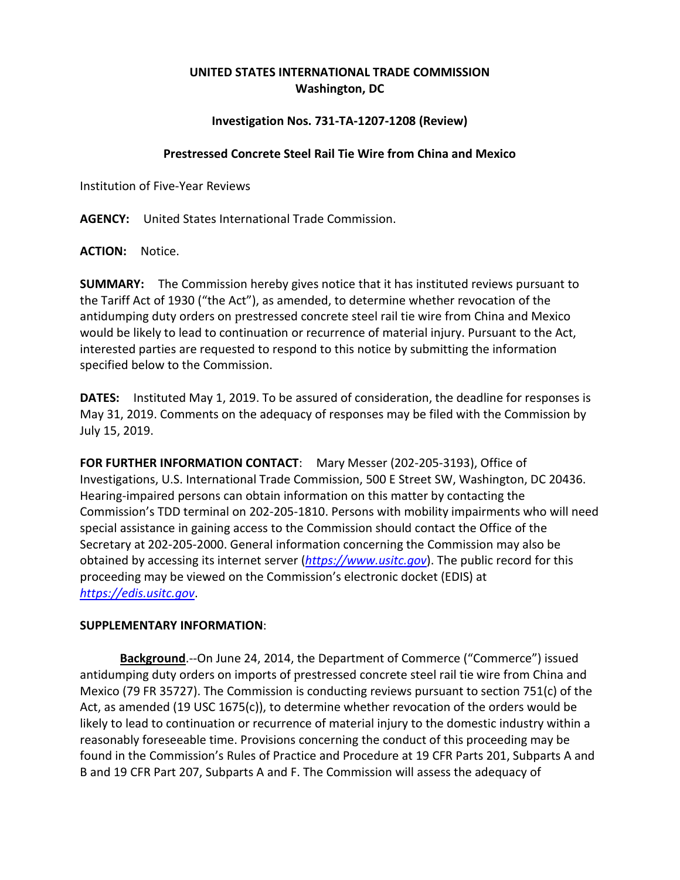## **UNITED STATES INTERNATIONAL TRADE COMMISSION Washington, DC**

## **Investigation Nos. 731-TA-1207-1208 (Review)**

## **Prestressed Concrete Steel Rail Tie Wire from China and Mexico**

Institution of Five-Year Reviews

**AGENCY:** United States International Trade Commission.

**ACTION:** Notice.

**SUMMARY:** The Commission hereby gives notice that it has instituted reviews pursuant to the Tariff Act of 1930 ("the Act"), as amended, to determine whether revocation of the antidumping duty orders on prestressed concrete steel rail tie wire from China and Mexico would be likely to lead to continuation or recurrence of material injury. Pursuant to the Act, interested parties are requested to respond to this notice by submitting the information specified below to the Commission.

**DATES:** Instituted May 1, 2019. To be assured of consideration, the deadline for responses is May 31, 2019. Comments on the adequacy of responses may be filed with the Commission by July 15, 2019.

**FOR FURTHER INFORMATION CONTACT**: Mary Messer (202-205-3193), Office of Investigations, U.S. International Trade Commission, 500 E Street SW, Washington, DC 20436. Hearing-impaired persons can obtain information on this matter by contacting the Commission's TDD terminal on 202-205-1810. Persons with mobility impairments who will need special assistance in gaining access to the Commission should contact the Office of the Secretary at 202-205-2000. General information concerning the Commission may also be obtained by accessing its internet server (*[https://www.usitc.gov](https://www.usitc.gov/)*). The public record for this proceeding may be viewed on the Commission's electronic docket (EDIS) at *[https://edis.usitc.gov](https://edis.usitc.gov/)*.

## **SUPPLEMENTARY INFORMATION**:

**Background**.--On June 24, 2014, the Department of Commerce ("Commerce") issued antidumping duty orders on imports of prestressed concrete steel rail tie wire from China and Mexico (79 FR 35727). The Commission is conducting reviews pursuant to section 751(c) of the Act, as amended (19 USC 1675(c)), to determine whether revocation of the orders would be likely to lead to continuation or recurrence of material injury to the domestic industry within a reasonably foreseeable time. Provisions concerning the conduct of this proceeding may be found in the Commission's Rules of Practice and Procedure at 19 CFR Parts 201, Subparts A and B and 19 CFR Part 207, Subparts A and F. The Commission will assess the adequacy of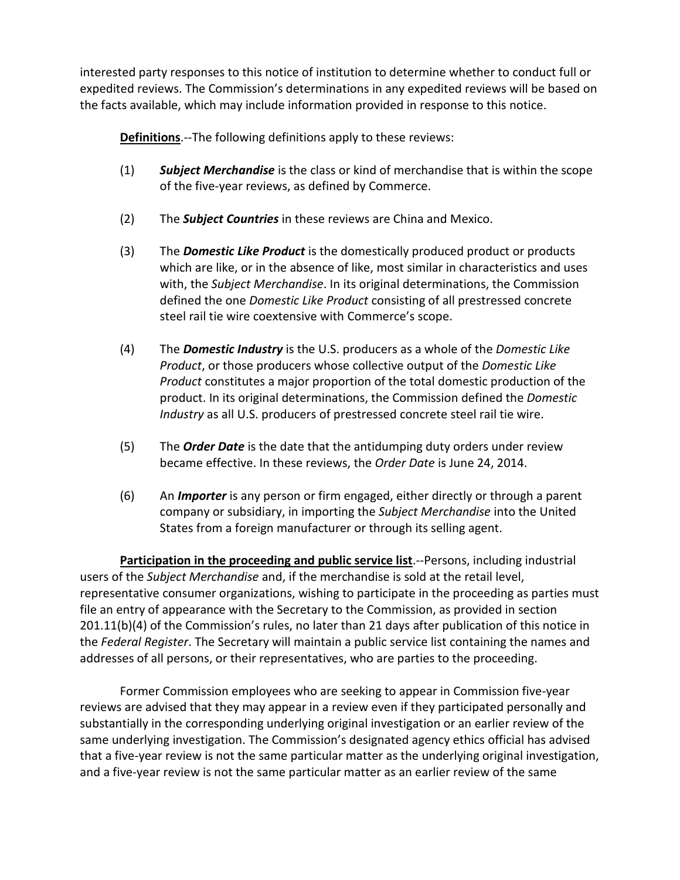interested party responses to this notice of institution to determine whether to conduct full or expedited reviews. The Commission's determinations in any expedited reviews will be based on the facts available, which may include information provided in response to this notice.

**Definitions**.--The following definitions apply to these reviews:

- (1) *Subject Merchandise* is the class or kind of merchandise that is within the scope of the five-year reviews, as defined by Commerce.
- (2) The *Subject Countries* in these reviews are China and Mexico.
- (3) The *Domestic Like Product* is the domestically produced product or products which are like, or in the absence of like, most similar in characteristics and uses with, the *Subject Merchandise*. In its original determinations, the Commission defined the one *Domestic Like Product* consisting of all prestressed concrete steel rail tie wire coextensive with Commerce's scope.
- (4) The *Domestic Industry* is the U.S. producers as a whole of the *Domestic Like Product*, or those producers whose collective output of the *Domestic Like Product* constitutes a major proportion of the total domestic production of the product. In its original determinations, the Commission defined the *Domestic Industry* as all U.S. producers of prestressed concrete steel rail tie wire.
- (5) The *Order Date* is the date that the antidumping duty orders under review became effective. In these reviews, the *Order Date* is June 24, 2014.
- (6) An *Importer* is any person or firm engaged, either directly or through a parent company or subsidiary, in importing the *Subject Merchandise* into the United States from a foreign manufacturer or through its selling agent.

**Participation in the proceeding and public service list**.--Persons, including industrial users of the *Subject Merchandise* and, if the merchandise is sold at the retail level, representative consumer organizations, wishing to participate in the proceeding as parties must file an entry of appearance with the Secretary to the Commission, as provided in section 201.11(b)(4) of the Commission's rules, no later than 21 days after publication of this notice in the *Federal Register*. The Secretary will maintain a public service list containing the names and addresses of all persons, or their representatives, who are parties to the proceeding.

Former Commission employees who are seeking to appear in Commission five-year reviews are advised that they may appear in a review even if they participated personally and substantially in the corresponding underlying original investigation or an earlier review of the same underlying investigation. The Commission's designated agency ethics official has advised that a five-year review is not the same particular matter as the underlying original investigation, and a five-year review is not the same particular matter as an earlier review of the same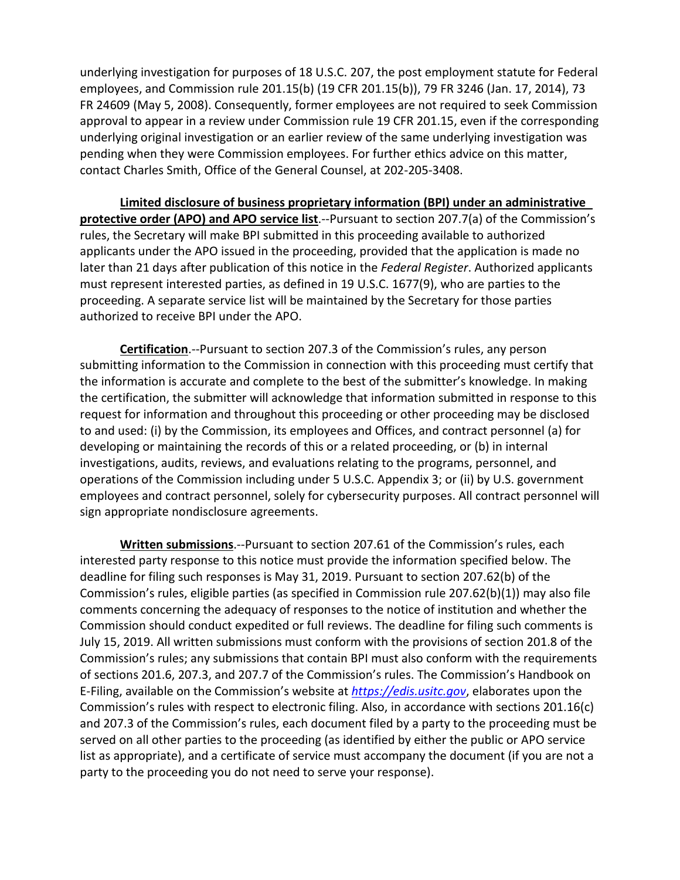underlying investigation for purposes of 18 U.S.C. 207, the post employment statute for Federal employees, and Commission rule 201.15(b) (19 CFR 201.15(b)), 79 FR 3246 (Jan. 17, 2014), 73 FR 24609 (May 5, 2008). Consequently, former employees are not required to seek Commission approval to appear in a review under Commission rule 19 CFR 201.15, even if the corresponding underlying original investigation or an earlier review of the same underlying investigation was pending when they were Commission employees. For further ethics advice on this matter, contact Charles Smith, Office of the General Counsel, at 202-205-3408.

**Limited disclosure of business proprietary information (BPI) under an administrative protective order (APO) and APO service list**.--Pursuant to section 207.7(a) of the Commission's rules, the Secretary will make BPI submitted in this proceeding available to authorized applicants under the APO issued in the proceeding, provided that the application is made no later than 21 days after publication of this notice in the *Federal Register*. Authorized applicants must represent interested parties, as defined in 19 U.S.C. 1677(9), who are parties to the proceeding. A separate service list will be maintained by the Secretary for those parties authorized to receive BPI under the APO.

**Certification**.--Pursuant to section 207.3 of the Commission's rules, any person submitting information to the Commission in connection with this proceeding must certify that the information is accurate and complete to the best of the submitter's knowledge. In making the certification, the submitter will acknowledge that information submitted in response to this request for information and throughout this proceeding or other proceeding may be disclosed to and used: (i) by the Commission, its employees and Offices, and contract personnel (a) for developing or maintaining the records of this or a related proceeding, or (b) in internal investigations, audits, reviews, and evaluations relating to the programs, personnel, and operations of the Commission including under 5 U.S.C. Appendix 3; or (ii) by U.S. government employees and contract personnel, solely for cybersecurity purposes. All contract personnel will sign appropriate nondisclosure agreements.

**Written submissions**.--Pursuant to section 207.61 of the Commission's rules, each interested party response to this notice must provide the information specified below. The deadline for filing such responses is May 31, 2019. Pursuant to section 207.62(b) of the Commission's rules, eligible parties (as specified in Commission rule 207.62(b)(1)) may also file comments concerning the adequacy of responses to the notice of institution and whether the Commission should conduct expedited or full reviews. The deadline for filing such comments is July 15, 2019. All written submissions must conform with the provisions of section 201.8 of the Commission's rules; any submissions that contain BPI must also conform with the requirements of sections 201.6, 207.3, and 207.7 of the Commission's rules. The Commission's Handbook on E-Filing, available on the Commission's website at *[https://edis.usitc.gov](https://edis.usitc.gov/)*, elaborates upon the Commission's rules with respect to electronic filing. Also, in accordance with sections 201.16(c) and 207.3 of the Commission's rules, each document filed by a party to the proceeding must be served on all other parties to the proceeding (as identified by either the public or APO service list as appropriate), and a certificate of service must accompany the document (if you are not a party to the proceeding you do not need to serve your response).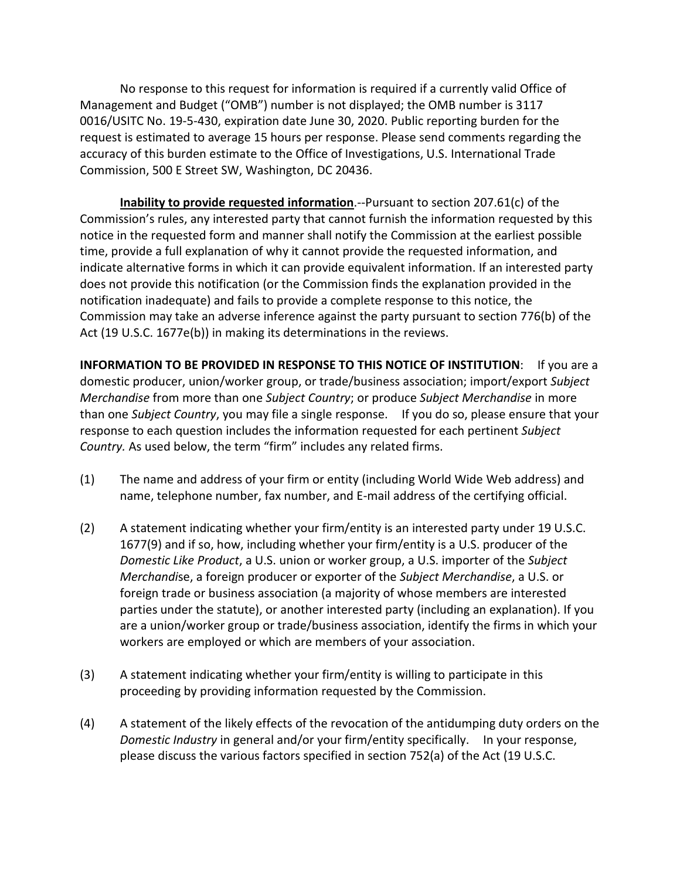No response to this request for information is required if a currently valid Office of Management and Budget ("OMB") number is not displayed; the OMB number is 3117 0016/USITC No. 19-5-430, expiration date June 30, 2020. Public reporting burden for the request is estimated to average 15 hours per response. Please send comments regarding the accuracy of this burden estimate to the Office of Investigations, U.S. International Trade Commission, 500 E Street SW, Washington, DC 20436.

**Inability to provide requested information**.--Pursuant to section 207.61(c) of the Commission's rules, any interested party that cannot furnish the information requested by this notice in the requested form and manner shall notify the Commission at the earliest possible time, provide a full explanation of why it cannot provide the requested information, and indicate alternative forms in which it can provide equivalent information. If an interested party does not provide this notification (or the Commission finds the explanation provided in the notification inadequate) and fails to provide a complete response to this notice, the Commission may take an adverse inference against the party pursuant to section 776(b) of the Act (19 U.S.C. 1677e(b)) in making its determinations in the reviews.

**INFORMATION TO BE PROVIDED IN RESPONSE TO THIS NOTICE OF INSTITUTION**: If you are a domestic producer, union/worker group, or trade/business association; import/export *Subject Merchandise* from more than one *Subject Country*; or produce *Subject Merchandise* in more than one *Subject Country*, you may file a single response. If you do so, please ensure that your response to each question includes the information requested for each pertinent *Subject Country.* As used below, the term "firm" includes any related firms.

- (1) The name and address of your firm or entity (including World Wide Web address) and name, telephone number, fax number, and E-mail address of the certifying official.
- (2) A statement indicating whether your firm/entity is an interested party under 19 U.S.C. 1677(9) and if so, how, including whether your firm/entity is a U.S. producer of the *Domestic Like Product*, a U.S. union or worker group, a U.S. importer of the *Subject Merchandi*se, a foreign producer or exporter of the *Subject Merchandise*, a U.S. or foreign trade or business association (a majority of whose members are interested parties under the statute), or another interested party (including an explanation). If you are a union/worker group or trade/business association, identify the firms in which your workers are employed or which are members of your association.
- (3) A statement indicating whether your firm/entity is willing to participate in this proceeding by providing information requested by the Commission.
- (4) A statement of the likely effects of the revocation of the antidumping duty orders on the *Domestic Industry* in general and/or your firm/entity specifically. In your response, please discuss the various factors specified in section 752(a) of the Act (19 U.S.C.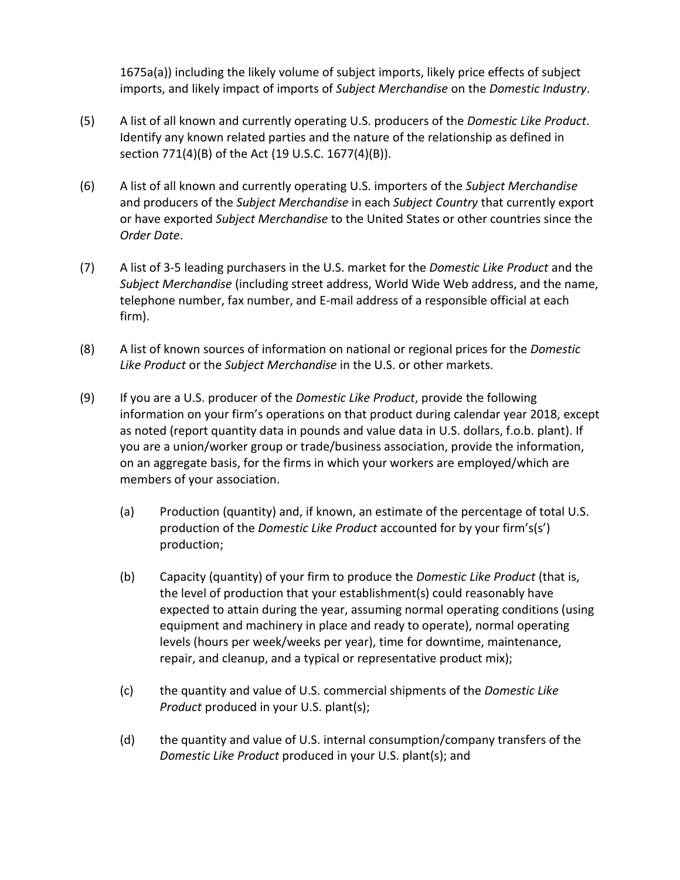1675a(a)) including the likely volume of subject imports, likely price effects of subject imports, and likely impact of imports of *Subject Merchandise* on the *Domestic Industry*.

- (5) A list of all known and currently operating U.S. producers of the *Domestic Like Product*. Identify any known related parties and the nature of the relationship as defined in section 771(4)(B) of the Act (19 U.S.C. 1677(4)(B)).
- (6) A list of all known and currently operating U.S. importers of the *Subject Merchandise* and producers of the *Subject Merchandise* in each *Subject Country* that currently export or have exported *Subject Merchandise* to the United States or other countries since the *Order Date*.
- (7) A list of 3-5 leading purchasers in the U.S. market for the *Domestic Like Product* and the *Subject Merchandise* (including street address, World Wide Web address, and the name, telephone number, fax number, and E-mail address of a responsible official at each firm).
- (8) A list of known sources of information on national or regional prices for the *Domestic Like Product* or the *Subject Merchandise* in the U.S. or other markets.
- (9) If you are a U.S. producer of the *Domestic Like Product*, provide the following information on your firm's operations on that product during calendar year 2018, except as noted (report quantity data in pounds and value data in U.S. dollars, f.o.b. plant). If you are a union/worker group or trade/business association, provide the information, on an aggregate basis, for the firms in which your workers are employed/which are members of your association.
	- (a) Production (quantity) and, if known, an estimate of the percentage of total U.S. production of the *Domestic Like Product* accounted for by your firm's(s') production;
	- (b) Capacity (quantity) of your firm to produce the *Domestic Like Product* (that is, the level of production that your establishment(s) could reasonably have expected to attain during the year, assuming normal operating conditions (using equipment and machinery in place and ready to operate), normal operating levels (hours per week/weeks per year), time for downtime, maintenance, repair, and cleanup, and a typical or representative product mix);
	- (c) the quantity and value of U.S. commercial shipments of the *Domestic Like Product* produced in your U.S. plant(s);
	- (d) the quantity and value of U.S. internal consumption/company transfers of the *Domestic Like Product* produced in your U.S. plant(s); and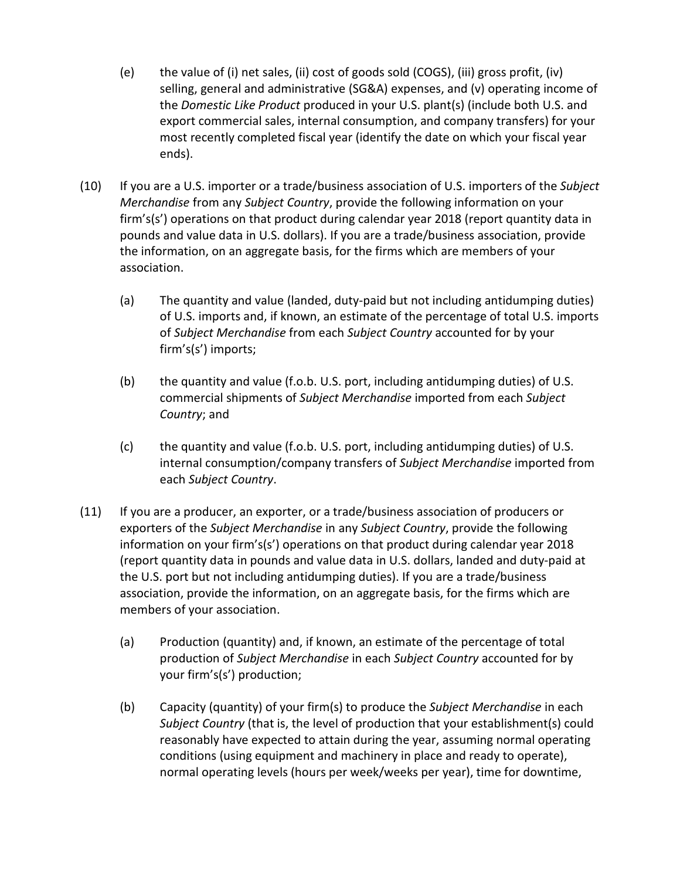- (e) the value of (i) net sales, (ii) cost of goods sold (COGS), (iii) gross profit, (iv) selling, general and administrative (SG&A) expenses, and (v) operating income of the *Domestic Like Product* produced in your U.S. plant(s) (include both U.S. and export commercial sales, internal consumption, and company transfers) for your most recently completed fiscal year (identify the date on which your fiscal year ends).
- (10) If you are a U.S. importer or a trade/business association of U.S. importers of the *Subject Merchandise* from any *Subject Country*, provide the following information on your firm's(s') operations on that product during calendar year 2018 (report quantity data in pounds and value data in U.S. dollars). If you are a trade/business association, provide the information, on an aggregate basis, for the firms which are members of your association.
	- (a) The quantity and value (landed, duty-paid but not including antidumping duties) of U.S. imports and, if known, an estimate of the percentage of total U.S. imports of *Subject Merchandise* from each *Subject Country* accounted for by your firm's(s') imports;
	- (b) the quantity and value (f.o.b. U.S. port, including antidumping duties) of U.S. commercial shipments of *Subject Merchandise* imported from each *Subject Country*; and
	- (c) the quantity and value (f.o.b. U.S. port, including antidumping duties) of U.S. internal consumption/company transfers of *Subject Merchandise* imported from each *Subject Country*.
- (11) If you are a producer, an exporter, or a trade/business association of producers or exporters of the *Subject Merchandise* in any *Subject Country*, provide the following information on your firm's(s') operations on that product during calendar year 2018 (report quantity data in pounds and value data in U.S. dollars, landed and duty-paid at the U.S. port but not including antidumping duties). If you are a trade/business association, provide the information, on an aggregate basis, for the firms which are members of your association.
	- (a) Production (quantity) and, if known, an estimate of the percentage of total production of *Subject Merchandise* in each *Subject Country* accounted for by your firm's(s') production;
	- (b) Capacity (quantity) of your firm(s) to produce the *Subject Merchandise* in each *Subject Country* (that is, the level of production that your establishment(s) could reasonably have expected to attain during the year, assuming normal operating conditions (using equipment and machinery in place and ready to operate), normal operating levels (hours per week/weeks per year), time for downtime,